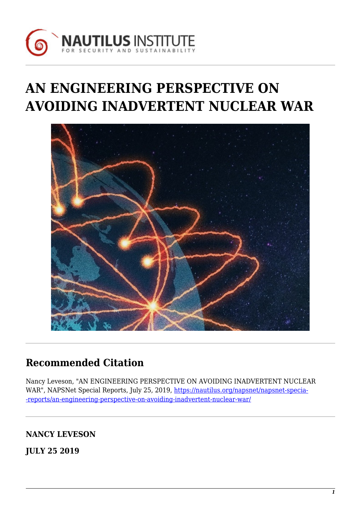

# **AN ENGINEERING PERSPECTIVE ON AVOIDING INADVERTENT NUCLEAR WAR**



# **Recommended Citation**

Nancy Leveson, "AN ENGINEERING PERSPECTIVE ON AVOIDING INADVERTENT NUCLEAR WAR", NAPSNet Special Reports, July 25, 2019, [https://nautilus.org/napsnet/napsnet-specia-](https://nautilus.org/napsnet/napsnet-special-reports/an-engineering-perspective-on-avoiding-inadvertent-nuclear-war/) [-reports/an-engineering-perspective-on-avoiding-inadvertent-nuclear-war/](https://nautilus.org/napsnet/napsnet-special-reports/an-engineering-perspective-on-avoiding-inadvertent-nuclear-war/)

# **NANCY LEVESON**

**JULY 25 2019**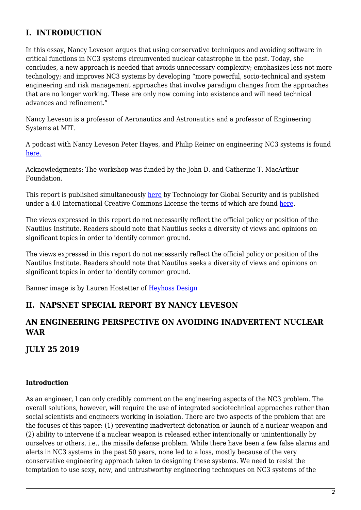# **I. INTRODUCTION**

In this essay, Nancy Leveson argues that using conservative techniques and avoiding software in critical functions in NC3 systems circumvented nuclear catastrophe in the past. Today, she concludes, a new approach is needed that avoids unnecessary complexity; emphasizes less not more technology; and improves NC3 systems by developing "more powerful, socio-technical and system engineering and risk management approaches that involve paradigm changes from the approaches that are no longer working. These are only now coming into existence and will need technical advances and refinement."

Nancy Leveson is a professor of Aeronautics and Astronautics and a professor of Engineering Systems at MIT.

A podcast with Nancy Leveson Peter Hayes, and Philip Reiner on engineering NC3 systems is found [here.](https://www.tech4gs.org/nc3-systems-and-strategic-stability-a-global-overview.html)

Acknowledgments: The workshop was funded by the John D. and Catherine T. MacArthur Foundation.

This report is published simultaneously [here](https://www.tech4gs.org/nc3-systems-and-strategic-stability-a-global-overview.html) by Technology for Global Security and is published under a 4.0 International Creative Commons License the terms of which are found [here.](https://creativecommons.org/licenses/by-nc-sa/4.0/)

The views expressed in this report do not necessarily reflect the official policy or position of the Nautilus Institute. Readers should note that Nautilus seeks a diversity of views and opinions on significant topics in order to identify common ground.

The views expressed in this report do not necessarily reflect the official policy or position of the Nautilus Institute. Readers should note that Nautilus seeks a diversity of views and opinions on significant topics in order to identify common ground.

Banner image is by Lauren Hostetter of [Heyhoss Design](http://heyhoss.design/)

### **II. NAPSNET SPECIAL REPORT BY NANCY LEVESON**

# **AN ENGINEERING PERSPECTIVE ON AVOIDING INADVERTENT NUCLEAR WAR**

**JULY 25 2019**

#### **Introduction**

As an engineer, I can only credibly comment on the engineering aspects of the NC3 problem. The overall solutions, however, will require the use of integrated sociotechnical approaches rather than social scientists and engineers working in isolation. There are two aspects of the problem that are the focuses of this paper: (1) preventing inadvertent detonation or launch of a nuclear weapon and (2) ability to intervene if a nuclear weapon is released either intentionally or unintentionally by ourselves or others, i.e., the missile defense problem. While there have been a few false alarms and alerts in NC3 systems in the past 50 years, none led to a loss, mostly because of the very conservative engineering approach taken to designing these systems. We need to resist the temptation to use sexy, new, and untrustworthy engineering techniques on NC3 systems of the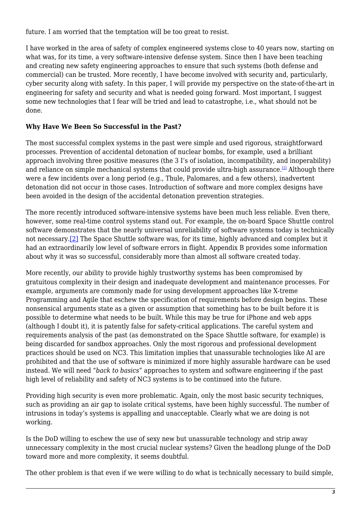future. I am worried that the temptation will be too great to resist.

I have worked in the area of safety of complex engineered systems close to 40 years now, starting on what was, for its time, a very software-intensive defense system. Since then I have been teaching and creating new safety engineering approaches to ensure that such systems (both defense and commercial) can be trusted. More recently, I have become involved with security and, particularly, cyber security along with safety. In this paper, I will provide my perspective on the state-of-the-art in engineering for safety and security and what is needed going forward. Most important, I suggest some new technologies that I fear will be tried and lead to catastrophe, i.e., what should not be done.

#### **Why Have We Been So Successful in the Past?**

<span id="page-2-0"></span>The most successful complex systems in the past were simple and used rigorous, straightforward processes. Prevention of accidental detonation of nuclear bombs, for example, used a brilliant approach involving three positive measures (the 3 I's of isolation, incompatibility, and inoperability) and reliance on simple mechanical systems that could provide ultra-high assurance.<sup>[\[1\]](#page-16-0)</sup> Although there were a few incidents over a long period (e.g., Thule, Palomares, and a few others), inadvertent detonation did not occur in those cases. Introduction of software and more complex designs have been avoided in the design of the accidental detonation prevention strategies.

<span id="page-2-1"></span>The more recently introduced software-intensive systems have been much less reliable. Even there, however, some real-time control systems stand out. For example, the on-board Space Shuttle control software demonstrates that the nearly universal unreliability of software systems today is technically not necessary[.\[2\]](#page-16-1) The Space Shuttle software was, for its time, highly advanced and complex but it had an extraordinarily low level of software errors in flight. Appendix B provides some information about why it was so successful, considerably more than almost all software created today.

More recently, our ability to provide highly trustworthy systems has been compromised by gratuitous complexity in their design and inadequate development and maintenance processes. For example, arguments are commonly made for using development approaches like X-treme Programming and Agile that eschew the specification of requirements before design begins. These nonsensical arguments state as a given or assumption that something has to be built before it is possible to determine what needs to be built. While this may be true for iPhone and web apps (although I doubt it), it is patently false for safety-critical applications. The careful system and requirements analysis of the past (as demonstrated on the Space Shuttle software, for example) is being discarded for sandbox approaches. Only the most rigorous and professional development practices should be used on NC3. This limitation implies that unassurable technologies like AI are prohibited and that the use of software is minimized if more highly assurable hardware can be used instead. We will need "*back to basics"* approaches to system and software engineering if the past high level of reliability and safety of NC3 systems is to be continued into the future.

Providing high security is even more problematic. Again, only the most basic security techniques, such as providing an air gap to isolate critical systems, have been highly successful. The number of intrusions in today's systems is appalling and unacceptable. Clearly what we are doing is not working.

Is the DoD willing to eschew the use of sexy new but unassurable technology and strip away unnecessary complexity in the most crucial nuclear systems? Given the headlong plunge of the DoD toward more and more complexity, it seems doubtful.

The other problem is that even if we were willing to do what is technically necessary to build simple,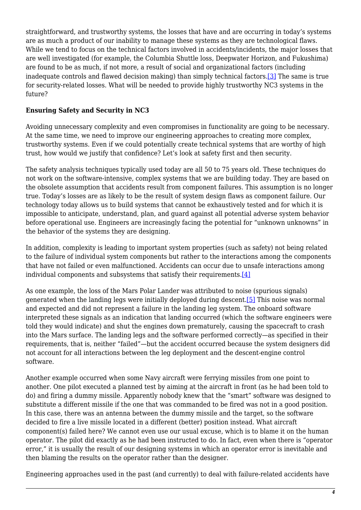straightforward, and trustworthy systems, the losses that have and are occurring in today's systems are as much a product of our inability to manage these systems as they are technological flaws. While we tend to focus on the technical factors involved in accidents/incidents, the major losses that are well investigated (for example, the Columbia Shuttle loss, Deepwater Horizon, and Fukushima) are found to be as much, if not more, a result of social and organizational factors (including inadequate controls and flawed decision making) than simply technical factors[.\[3\]](#page-16-2) The same is true for security-related losses. What will be needed to provide highly trustworthy NC3 systems in the future?

#### <span id="page-3-0"></span>**Ensuring Safety and Security in NC3**

Avoiding unnecessary complexity and even compromises in functionality are going to be necessary. At the same time, we need to improve our engineering approaches to creating more complex, trustworthy systems. Even if we could potentially create technical systems that are worthy of high trust, how would we justify that confidence? Let's look at safety first and then security.

The safety analysis techniques typically used today are all 50 to 75 years old. These techniques do not work on the software-intensive, complex systems that we are building today. They are based on the obsolete assumption that accidents result from component failures. This assumption is no longer true. Today's losses are as likely to be the result of system design flaws as component failure. Our technology today allows us to build systems that cannot be exhaustively tested and for which it is impossible to anticipate, understand, plan, and guard against all potential adverse system behavior before operational use. Engineers are increasingly facing the potential for "unknown unknowns" in the behavior of the systems they are designing.

In addition, complexity is leading to important system properties (such as safety) not being related to the failure of individual system components but rather to the interactions among the components that have not failed or even malfunctioned. Accidents can occur due to unsafe interactions among individual components and subsystems that satisfy their requirements.[\[4\]](#page-16-3)

<span id="page-3-2"></span><span id="page-3-1"></span>As one example, the loss of the Mars Polar Lander was attributed to noise (spurious signals) generated when the landing legs were initially deployed during descent.[\[5\]](#page-16-4) This noise was normal and expected and did not represent a failure in the landing leg system. The onboard software interpreted these signals as an indication that landing occurred (which the software engineers were told they would indicate) and shut the engines down prematurely, causing the spacecraft to crash into the Mars surface. The landing legs and the software performed correctly—as specified in their requirements, that is, neither "failed"—but the accident occurred because the system designers did not account for all interactions between the leg deployment and the descent-engine control software.

Another example occurred when some Navy aircraft were ferrying missiles from one point to another. One pilot executed a planned test by aiming at the aircraft in front (as he had been told to do) and firing a dummy missile. Apparently nobody knew that the "smart" software was designed to substitute a different missile if the one that was commanded to be fired was not in a good position. In this case, there was an antenna between the dummy missile and the target, so the software decided to fire a live missile located in a different (better) position instead. What aircraft component(s) failed here? We cannot even use our usual excuse, which is to blame it on the human operator. The pilot did exactly as he had been instructed to do. In fact, even when there is "operator error," it is usually the result of our designing systems in which an operator error is inevitable and then blaming the results on the operator rather than the designer.

Engineering approaches used in the past (and currently) to deal with failure-related accidents have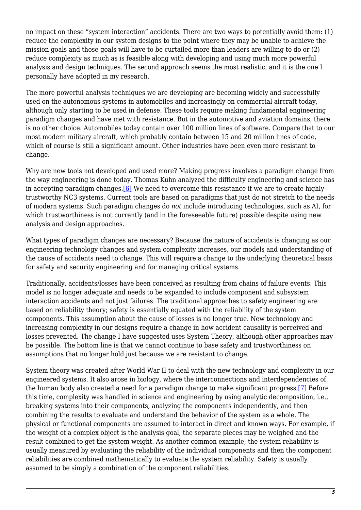no impact on these "system interaction" accidents. There are two ways to potentially avoid them: (1) reduce the complexity in our system designs to the point where they may be unable to achieve the mission goals and those goals will have to be curtailed more than leaders are willing to do or (2) reduce complexity as much as is feasible along with developing and using much more powerful analysis and design techniques. The second approach seems the most realistic, and it is the one I personally have adopted in my research.

The more powerful analysis techniques we are developing are becoming widely and successfully used on the autonomous systems in automobiles and increasingly on commercial aircraft today, although only starting to be used in defense. These tools require making fundamental engineering paradigm changes and have met with resistance. But in the automotive and aviation domains, there is no other choice. Automobiles today contain over 100 million lines of software. Compare that to our most modern military aircraft, which probably contain between 15 and 20 million lines of code, which of course is still a significant amount. Other industries have been even more resistant to change.

<span id="page-4-0"></span>Why are new tools not developed and used more? Making progress involves a paradigm change from the way engineering is done today. Thomas Kuhn analyzed the difficulty engineering and science has in accepting paradigm changes. $[6]$  We need to overcome this resistance if we are to create highly trustworthy NC3 systems. Current tools are based on paradigms that just do not stretch to the needs of modern systems. Such paradigm changes do *not* include introducing technologies, such as AI, for which trustworthiness is not currently (and in the foreseeable future) possible despite using new analysis and design approaches.

What types of paradigm changes are necessary? Because the nature of accidents is changing as our engineering technology changes and system complexity increases, our models and understanding of the cause of accidents need to change. This will require a change to the underlying theoretical basis for safety and security engineering and for managing critical systems.

Traditionally, accidents/losses have been conceived as resulting from chains of failure events. This model is no longer adequate and needs to be expanded to include component and subsystem interaction accidents and not just failures. The traditional approaches to safety engineering are based on reliability theory; safety is essentially equated with the reliability of the system components. This assumption about the cause of losses is no longer true. New technology and increasing complexity in our designs require a change in how accident causality is perceived and losses prevented. The change I have suggested uses System Theory, although other approaches may be possible. The bottom line is that we cannot continue to base safety and trustworthiness on assumptions that no longer hold just because we are resistant to change.

<span id="page-4-1"></span>System theory was created after World War II to deal with the new technology and complexity in our engineered systems. It also arose in biology, where the interconnections and interdependencies of the human body also created a need for a paradigm change to make significant progress.[\[7\]](#page-16-6) Before this time, complexity was handled in science and engineering by using analytic decomposition, i.e., breaking systems into their components, analyzing the components independently, and then combining the results to evaluate and understand the behavior of the system as a whole. The physical or functional components are assumed to interact in direct and known ways. For example, if the weight of a complex object is the analysis goal, the separate pieces may be weighed and the result combined to get the system weight. As another common example, the system reliability is usually measured by evaluating the reliability of the individual components and then the component reliabilities are combined mathematically to evaluate the system reliability. Safety is usually assumed to be simply a combination of the component reliabilities.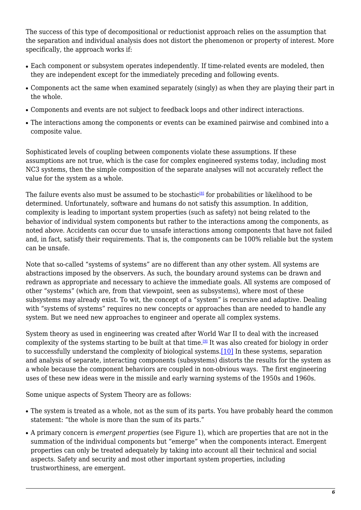The success of this type of decompositional or reductionist approach relies on the assumption that the separation and individual analysis does not distort the phenomenon or property of interest. More specifically, the approach works if:

- Each component or subsystem operates independently. If time-related events are modeled, then they are independent except for the immediately preceding and following events.
- Components act the same when examined separately (singly) as when they are playing their part in the whole.
- Components and events are not subject to feedback loops and other indirect interactions.
- The interactions among the components or events can be examined pairwise and combined into a composite value.

Sophisticated levels of coupling between components violate these assumptions. If these assumptions are not true, which is the case for complex engineered systems today, including most NC3 systems, then the simple composition of the separate analyses will not accurately reflect the value for the system as a whole.

<span id="page-5-0"></span>The failure events also must be assumed to be stochastic<sup>[\[8\]](#page-16-7)</sup> for probabilities or likelihood to be determined. Unfortunately, software and humans do not satisfy this assumption. In addition, complexity is leading to important system properties (such as safety) not being related to the behavior of individual system components but rather to the interactions among the components, as noted above. Accidents can occur due to unsafe interactions among components that have not failed and, in fact, satisfy their requirements. That is, the components can be 100% reliable but the system can be unsafe.

Note that so-called "systems of systems" are no different than any other system. All systems are abstractions imposed by the observers. As such, the boundary around systems can be drawn and redrawn as appropriate and necessary to achieve the immediate goals. All systems are composed of other "systems" (which are, from that viewpoint, seen as subsystems), where most of these subsystems may already exist. To wit, the concept of a "system" is recursive and adaptive. Dealing with "systems of systems" requires no new concepts or approaches than are needed to handle any system. But we need new approaches to engineer and operate all complex systems.

<span id="page-5-2"></span><span id="page-5-1"></span>System theory as used in engineering was created after World War II to deal with the increased complexity of the systems starting to be built at that time.[\[9\]](#page-16-8) It was also created for biology in order to successfully understand the complexity of biological systems.[\[10\]](#page-16-9) In these systems, separation and analysis of separate, interacting components (subsystems) distorts the results for the system as a whole because the component behaviors are coupled in non-obvious ways. The first engineering uses of these new ideas were in the missile and early warning systems of the 1950s and 1960s.

Some unique aspects of System Theory are as follows:

- The system is treated as a whole, not as the sum of its parts. You have probably heard the common statement: "the whole is more than the sum of its parts."
- A primary concern is *emergent properties* (see Figure 1), which are properties that are not in the summation of the individual components but "emerge" when the components interact. Emergent properties can only be treated adequately by taking into account all their technical and social aspects. Safety and security and most other important system properties, including trustworthiness, are emergent.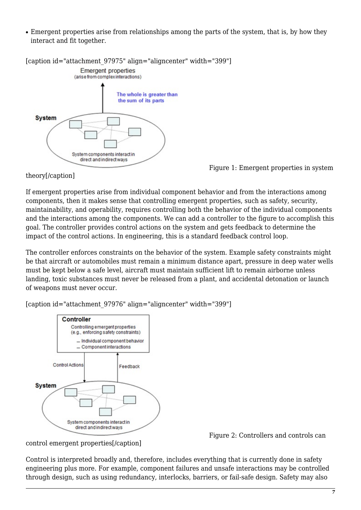• Emergent properties arise from relationships among the parts of the system, that is, by how they interact and fit together.



Figure 1: Emergent properties in system

theory[/caption]

If emergent properties arise from individual component behavior and from the interactions among components, then it makes sense that controlling emergent properties, such as safety, security, maintainability, and operability, requires controlling both the behavior of the individual components and the interactions among the components. We can add a controller to the figure to accomplish this goal. The controller provides control actions on the system and gets feedback to determine the impact of the control actions. In engineering, this is a standard feedback control loop.

The controller enforces constraints on the behavior of the system. Example safety constraints might be that aircraft or automobiles must remain a minimum distance apart, pressure in deep water wells must be kept below a safe level, aircraft must maintain sufficient lift to remain airborne unless landing, toxic substances must never be released from a plant, and accidental detonation or launch of weapons must never occur.



control emergent properties[/caption]

[caption id="attachment\_97976" align="aligncenter" width="399"]

Figure 2: Controllers and controls can

Control is interpreted broadly and, therefore, includes everything that is currently done in safety engineering plus more. For example, component failures and unsafe interactions may be controlled through design, such as using redundancy, interlocks, barriers, or fail-safe design. Safety may also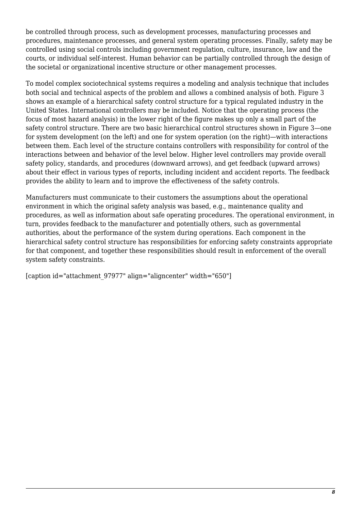be controlled through process, such as development processes, manufacturing processes and procedures, maintenance processes, and general system operating processes. Finally, safety may be controlled using social controls including government regulation, culture, insurance, law and the courts, or individual self-interest. Human behavior can be partially controlled through the design of the societal or organizational incentive structure or other management processes.

To model complex sociotechnical systems requires a modeling and analysis technique that includes both social and technical aspects of the problem and allows a combined analysis of both. Figure 3 shows an example of a hierarchical safety control structure for a typical regulated industry in the United States. International controllers may be included. Notice that the operating process (the focus of most hazard analysis) in the lower right of the figure makes up only a small part of the safety control structure. There are two basic hierarchical control structures shown in Figure 3—one for system development (on the left) and one for system operation (on the right)—with interactions between them. Each level of the structure contains controllers with responsibility for control of the interactions between and behavior of the level below. Higher level controllers may provide overall safety policy, standards, and procedures (downward arrows), and get feedback (upward arrows) about their effect in various types of reports, including incident and accident reports. The feedback provides the ability to learn and to improve the effectiveness of the safety controls.

Manufacturers must communicate to their customers the assumptions about the operational environment in which the original safety analysis was based, e.g., maintenance quality and procedures, as well as information about safe operating procedures. The operational environment, in turn, provides feedback to the manufacturer and potentially others, such as governmental authorities, about the performance of the system during operations. Each component in the hierarchical safety control structure has responsibilities for enforcing safety constraints appropriate for that component, and together these responsibilities should result in enforcement of the overall system safety constraints.

[caption id="attachment\_97977" align="aligncenter" width="650"]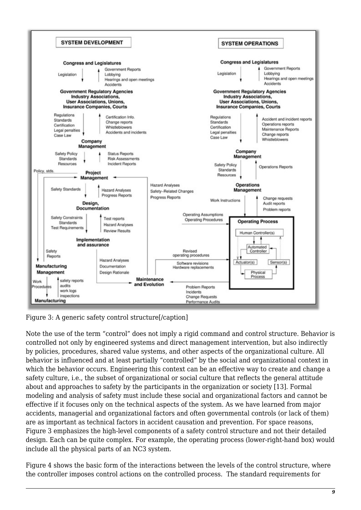

Figure 3: A generic safety control structure[/caption]

Note the use of the term "control" does not imply a rigid command and control structure. Behavior is controlled not only by engineered systems and direct management intervention, but also indirectly by policies, procedures, shared value systems, and other aspects of the organizational culture. All behavior is influenced and at least partially "controlled" by the social and organizational context in which the behavior occurs. Engineering this context can be an effective way to create and change a safety culture, i.e., the subset of organizational or social culture that reflects the general attitude about and approaches to safety by the participants in the organization or society [13]. Formal modeling and analysis of safety must include these social and organizational factors and cannot be effective if it focuses only on the technical aspects of the system. As we have learned from major accidents, managerial and organizational factors and often governmental controls (or lack of them) are as important as technical factors in accident causation and prevention. For space reasons, Figure 3 emphasizes the high-level components of a safety control structure and not their detailed design. Each can be quite complex. For example, the operating process (lower-right-hand box) would include all the physical parts of an NC3 system.

Figure 4 shows the basic form of the interactions between the levels of the control structure, where the controller imposes control actions on the controlled process. The standard requirements for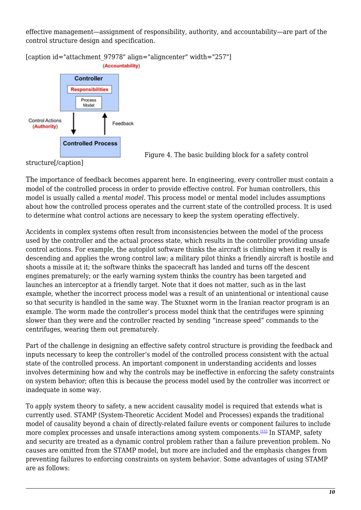effective management—assignment of responsibility, authority, and accountability—are part of the control structure design and specification.

[caption id="attachment\_97978" align="aligncenter" width="257"] (Accountability)



Figure 4. The basic building block for a safety control

structure[/caption]

The importance of feedback becomes apparent here. In engineering, every controller must contain a model of the controlled process in order to provide effective control. For human controllers, this model is usually called a *mental model.* This process model or mental model includes assumptions about how the controlled process operates and the current state of the controlled process. It is used to determine what control actions are necessary to keep the system operating effectively.

Accidents in complex systems often result from inconsistencies between the model of the process used by the controller and the actual process state, which results in the controller providing unsafe control actions. For example, the autopilot software thinks the aircraft is climbing when it really is descending and applies the wrong control law; a military pilot thinks a friendly aircraft is hostile and shoots a missile at it; the software thinks the spacecraft has landed and turns off the descent engines prematurely; or the early warning system thinks the country has been targeted and launches an interceptor at a friendly target. Note that it does not matter, such as in the last example, whether the incorrect process model was a result of an unintentional or intentional cause so that security is handled in the same way. The Stuxnet worm in the Iranian reactor program is an example. The worm made the controller's process model think that the centrifuges were spinning slower than they were and the controller reacted by sending "increase speed" commands to the centrifuges, wearing them out prematurely.

Part of the challenge in designing an effective safety control structure is providing the feedback and inputs necessary to keep the controller's model of the controlled process consistent with the actual state of the controlled process. An important component in understanding accidents and losses involves determining how and why the controls may be ineffective in enforcing the safety constraints on system behavior; often this is because the process model used by the controller was incorrect or inadequate in some way.

<span id="page-9-0"></span>To apply system theory to safety, a new accident causality model is required that extends what is currently used. STAMP (System-Theoretic Accident Model and Processes) expands the traditional model of causality beyond a chain of directly-related failure events or component failures to include more complex processes and unsafe interactions among system components.<sup>[\[11\]](#page-16-10)</sup> In STAMP, safety and security are treated as a dynamic control problem rather than a failure prevention problem. No causes are omitted from the STAMP model, but more are included and the emphasis changes from preventing failures to enforcing constraints on system behavior. Some advantages of using STAMP are as follows: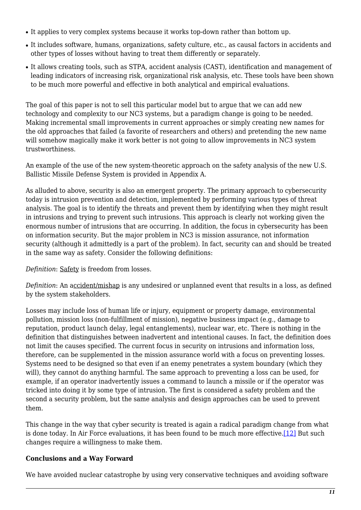- It applies to very complex systems because it works top-down rather than bottom up.
- It includes software, humans, organizations, safety culture, etc., as causal factors in accidents and other types of losses without having to treat them differently or separately.
- It allows creating tools, such as STPA, accident analysis (CAST), identification and management of leading indicators of increasing risk, organizational risk analysis, etc. These tools have been shown to be much more powerful and effective in both analytical and empirical evaluations.

The goal of this paper is not to sell this particular model but to argue that we can add new technology and complexity to our NC3 systems, but a paradigm change is going to be needed. Making incremental small improvements in current approaches or simply creating new names for the old approaches that failed (a favorite of researchers and others) and pretending the new name will somehow magically make it work better is not going to allow improvements in NC3 system trustworthiness.

An example of the use of the new system-theoretic approach on the safety analysis of the new U.S. Ballistic Missile Defense System is provided in Appendix A.

As alluded to above, security is also an emergent property. The primary approach to cybersecurity today is intrusion prevention and detection, implemented by performing various types of threat analysis. The goal is to identify the threats and prevent them by identifying when they might result in intrusions and trying to prevent such intrusions. This approach is clearly not working given the enormous number of intrusions that are occurring. In addition, the focus in cybersecurity has been on information security. But the major problem in NC3 is mission assurance, not information security (although it admittedly is a part of the problem). In fact, security can and should be treated in the same way as safety. Consider the following definitions:

*Definition*: Safety is freedom from losses.

*Definition*: An accident/mishap is any undesired or unplanned event that results in a loss, as defined by the system stakeholders.

Losses may include loss of human life or injury, equipment or property damage, environmental pollution, mission loss (non-fulfillment of mission), negative business impact (e.g., damage to reputation, product launch delay, legal entanglements), nuclear war, etc. There is nothing in the definition that distinguishes between inadvertent and intentional causes. In fact, the definition does not limit the causes specified. The current focus in security on intrusions and information loss, therefore, can be supplemented in the mission assurance world with a focus on preventing losses. Systems need to be designed so that even if an enemy penetrates a system boundary (which they will), they cannot do anything harmful. The same approach to preventing a loss can be used, for example, if an operator inadvertently issues a command to launch a missile or if the operator was tricked into doing it by some type of intrusion. The first is considered a safety problem and the second a security problem, but the same analysis and design approaches can be used to prevent them.

<span id="page-10-0"></span>This change in the way that cyber security is treated is again a radical paradigm change from what is done today. In Air Force evaluations, it has been found to be much more effective.<sup>[\[12\]](#page-16-11)</sup> But such changes require a willingness to make them.

#### **Conclusions and a Way Forward**

We have avoided nuclear catastrophe by using very conservative techniques and avoiding software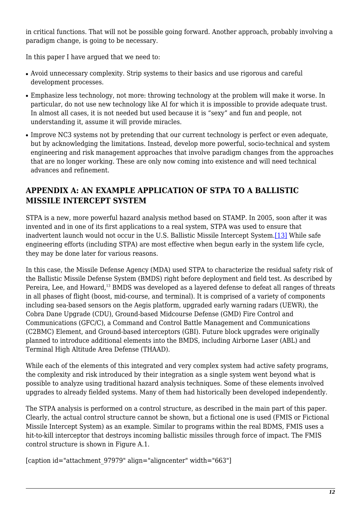in critical functions. That will not be possible going forward. Another approach, probably involving a paradigm change, is going to be necessary.

In this paper I have argued that we need to:

- Avoid unnecessary complexity. Strip systems to their basics and use rigorous and careful development processes.
- Emphasize less technology, not more: throwing technology at the problem will make it worse. In particular, do not use new technology like AI for which it is impossible to provide adequate trust. In almost all cases, it is not needed but used because it is "sexy" and fun and people, not understanding it, assume it will provide miracles.
- Improve NC3 systems not by pretending that our current technology is perfect or even adequate, but by acknowledging the limitations. Instead, develop more powerful, socio-technical and system engineering and risk management approaches that involve paradigm changes from the approaches that are no longer working. These are only now coming into existence and will need technical advances and refinement.

# **APPENDIX A: AN EXAMPLE APPLICATION OF STPA TO A BALLISTIC MISSILE INTERCEPT SYSTEM**

<span id="page-11-0"></span>STPA is a new, more powerful hazard analysis method based on STAMP. In 2005, soon after it was invented and in one of its first applications to a real system, STPA was used to ensure that inadvertent launch would not occur in the U.S. Ballistic Missile Intercept System[.\[13\]](#page-16-12) While safe engineering efforts (including STPA) are most effective when begun early in the system life cycle, they may be done later for various reasons.

In this case, the Missile Defense Agency (MDA) used STPA to characterize the residual safety risk of the Ballistic Missile Defense System (BMDS) right before deployment and field test. As described by Pereira, Lee, and Howard,<sup>13</sup> BMDS was developed as a layered defense to defeat all ranges of threats in all phases of flight (boost, mid-course, and terminal). It is comprised of a variety of components including sea-based sensors on the Aegis platform, upgraded early warning radars (UEWR), the Cobra Dane Upgrade (CDU), Ground-based Midcourse Defense (GMD) Fire Control and Communications (GFC/C), a Command and Control Battle Management and Communications (C2BMC) Element, and Ground-based interceptors (GBI). Future block upgrades were originally planned to introduce additional elements into the BMDS, including Airborne Laser (ABL) and Terminal High Altitude Area Defense (THAAD).

While each of the elements of this integrated and very complex system had active safety programs, the complexity and risk introduced by their integration as a single system went beyond what is possible to analyze using traditional hazard analysis techniques. Some of these elements involved upgrades to already fielded systems. Many of them had historically been developed independently.

The STPA analysis is performed on a control structure, as described in the main part of this paper. Clearly, the actual control structure cannot be shown, but a fictional one is used (FMIS or Fictional Missile Intercept System) as an example. Similar to programs within the real BDMS, FMIS uses a hit-to-kill interceptor that destroys incoming ballistic missiles through force of impact. The FMIS control structure is shown in Figure A.1.

[caption id="attachment\_97979" align="aligncenter" width="663"]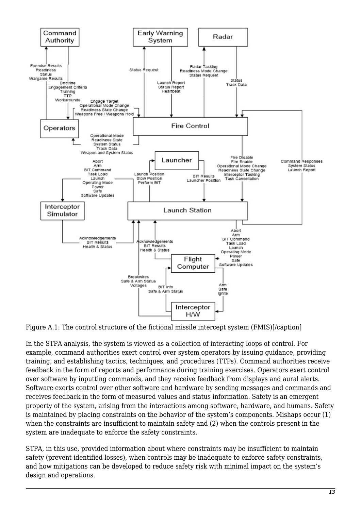

Figure A.1: The control structure of the fictional missile intercept system (FMIS)[/caption]

In the STPA analysis, the system is viewed as a collection of interacting loops of control. For example, command authorities exert control over system operators by issuing guidance, providing training, and establishing tactics, techniques, and procedures (TTPs). Command authorities receive feedback in the form of reports and performance during training exercises. Operators exert control over software by inputting commands, and they receive feedback from displays and aural alerts. Software exerts control over other software and hardware by sending messages and commands and receives feedback in the form of measured values and status information. Safety is an emergent property of the system, arising from the interactions among software, hardware, and humans. Safety is maintained by placing constraints on the behavior of the system's components. Mishaps occur (1) when the constraints are insufficient to maintain safety and (2) when the controls present in the system are inadequate to enforce the safety constraints.

STPA, in this use, provided information about where constraints may be insufficient to maintain safety (prevent identified losses), when controls may be inadequate to enforce safety constraints, and how mitigations can be developed to reduce safety risk with minimal impact on the system's design and operations.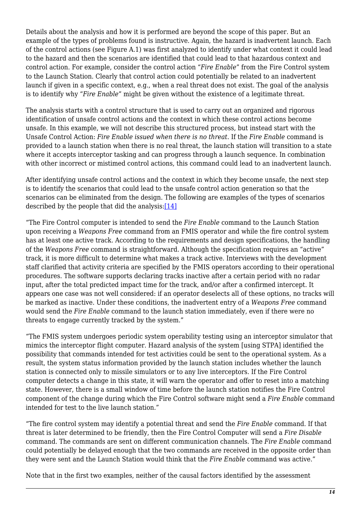Details about the analysis and how it is performed are beyond the scope of this paper. But an example of the types of problems found is instructive. Again, the hazard is inadvertent launch. Each of the control actions (see Figure A.1) was first analyzed to identify under what context it could lead to the hazard and then the scenarios are identified that could lead to that hazardous context and control action. For example, consider the control action "*Fire Enable*" from the Fire Control system to the Launch Station. Clearly that control action could potentially be related to an inadvertent launch if given in a specific context, e.g., when a real threat does not exist. The goal of the analysis is to identify why "*Fire Enable*" might be given without the existence of a legitimate threat.

The analysis starts with a control structure that is used to carry out an organized and rigorous identification of unsafe control actions and the context in which these control actions become unsafe. In this example, we will not describe this structured process, but instead start with the Unsafe Control Action: *Fire Enable issued when there is no threat*. If the *Fire Enable* command is provided to a launch station when there is no real threat, the launch station will transition to a state where it accepts interceptor tasking and can progress through a launch sequence. In combination with other incorrect or mistimed control actions, this command could lead to an inadvertent launch.

After identifying unsafe control actions and the context in which they become unsafe, the next step is to identify the scenarios that could lead to the unsafe control action generation so that the scenarios can be eliminated from the design. The following are examples of the types of scenarios described by the people that did the analysis: $[14]$ 

<span id="page-13-0"></span>"The Fire Control computer is intended to send the *Fire Enable* command to the Launch Station upon receiving a *Weapons Free* command from an FMIS operator and while the fire control system has at least one active track. According to the requirements and design specifications, the handling of the *Weapons Free* command is straightforward. Although the specification requires an "active" track, it is more difficult to determine what makes a track active. Interviews with the development staff clarified that activity criteria are specified by the FMIS operators according to their operational procedures. The software supports declaring tracks inactive after a certain period with no radar input, after the total predicted impact time for the track, and/or after a confirmed intercept. It appears one case was not well considered: if an operator deselects all of these options, no tracks will be marked as inactive. Under these conditions, the inadvertent entry of a *Weapons Free* command would send the *Fire Enable* command to the launch station immediately, even if there were no threats to engage currently tracked by the system."

"The FMIS system undergoes periodic system operability testing using an interceptor simulator that mimics the interceptor flight computer. Hazard analysis of the system [using STPA] identified the possibility that commands intended for test activities could be sent to the operational system. As a result, the system status information provided by the launch station includes whether the launch station is connected only to missile simulators or to any live interceptors. If the Fire Control computer detects a change in this state, it will warn the operator and offer to reset into a matching state. However, there is a small window of time before the launch station notifies the Fire Control component of the change during which the Fire Control software might send a *Fire Enable* command intended for test to the live launch station."

"The fire control system may identify a potential threat and send the *Fire Enable* command. If that threat is later determined to be friendly, then the Fire Control Computer will send a *Fire Disable* command. The commands are sent on different communication channels. The *Fire Enable* command could potentially be delayed enough that the two commands are received in the opposite order than they were sent and the Launch Station would think that the *Fire Enable* command was active."

Note that in the first two examples, neither of the causal factors identified by the assessment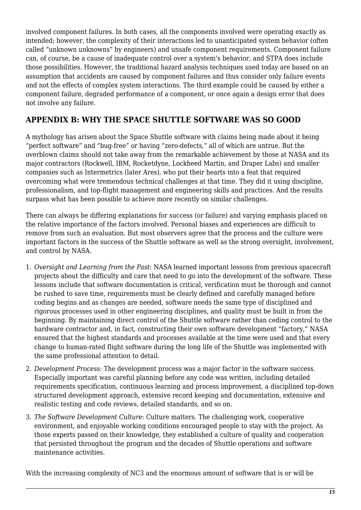involved component failures. In both cases, all the components involved were operating exactly as intended; however, the complexity of their interactions led to unanticipated system behavior (often called "unknown unknowns" by engineers) and unsafe component requirements. Component failure can, of course, be a cause of inadequate control over a system's behavior, and STPA does include those possibilities. However, the traditional hazard analysis techniques used today are based on an assumption that accidents are caused by component failures and thus consider only failure events and not the effects of complex system interactions. The third example could be caused by either a component failure, degraded performance of a component, or once again a design error that does not involve any failure.

# **APPENDIX B: WHY THE SPACE SHUTTLE SOFTWARE WAS SO GOOD**

A mythology has arisen about the Space Shuttle software with claims being made about it being "perfect software" and "bug-free" or having "zero-defects," all of which are untrue. But the overblown claims should not take away from the remarkable achievement by those at NASA and its major contractors (Rockwell, IBM, Rocketdyne, Lockheed Martin, and Draper Labs) and smaller companies such as Intermetrics (later Ares), who put their hearts into a feat that required overcoming what were tremendous technical challenges at that time. They did it using discipline, professionalism, and top-flight management and engineering skills and practices. And the results surpass what has been possible to achieve more recently on similar challenges.

There can always be differing explanations for success (or failure) and varying emphasis placed on the relative importance of the factors involved. Personal biases and experiences are difficult to remove from such an evaluation. But most observers agree that the process and the culture were important factors in the success of the Shuttle software as well as the strong oversight, involvement, and control by NASA.

- 1. *Oversight and Learning from the Past*: NASA learned important lessons from previous spacecraft projects about the difficulty and care that need to go into the development of the software. These lessons include that software documentation is critical, verification must be thorough and cannot be rushed to save time, requirements must be clearly defined and carefully managed before coding begins and as changes are needed, software needs the same type of disciplined and rigorous processes used in other engineering disciplines, and quality must be built in from the beginning. By maintaining direct control of the Shuttle software rather than ceding control to the hardware contractor and, in fact, constructing their own software development "factory," NASA ensured that the highest standards and processes available at the time were used and that every change to human-rated flight software during the long life of the Shuttle was implemented with the same professional attention to detail.
- 2. *Development Process:* The development process was a major factor in the software success. Especially important was careful planning before any code was written, including detailed requirements specification, continuous learning and process improvement, a disciplined top-down structured development approach, extensive record keeping and documentation, extensive and realistic testing and code reviews, detailed standards, and so on.
- 3. *The Software Development Culture*: Culture matters. The challenging work, cooperative environment, and enjoyable working conditions encouraged people to stay with the project. As those experts passed on their knowledge, they established a culture of quality and cooperation that persisted throughout the program and the decades of Shuttle operations and software maintenance activities.

With the increasing complexity of NC3 and the enormous amount of software that is or will be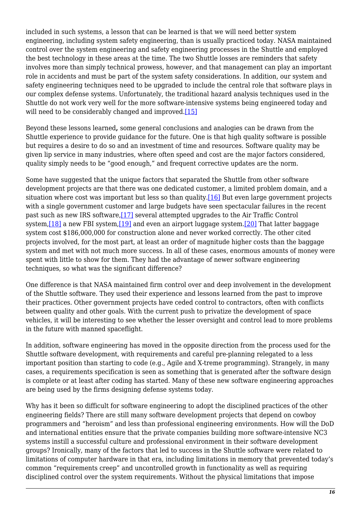included in such systems, a lesson that can be learned is that we will need better system engineering, including system safety engineering, than is usually practiced today. NASA maintained control over the system engineering and safety engineering processes in the Shuttle and employed the best technology in these areas at the time. The two Shuttle losses are reminders that safety involves more than simply technical prowess, however, and that management can play an important role in accidents and must be part of the system safety considerations. In addition, our system and safety engineering techniques need to be upgraded to include the central role that software plays in our complex defense systems. Unfortunately, the traditional hazard analysis techniques used in the Shuttle do not work very well for the more software-intensive systems being engineered today and will need to be considerably changed and improved.<sup>[\[15\]](#page-16-14)</sup>

<span id="page-15-0"></span>Beyond these lessons learned**,** some general conclusions and analogies can be drawn from the Shuttle experience to provide guidance for the future. One is that high quality software is possible but requires a desire to do so and an investment of time and resources. Software quality may be given lip service in many industries, where often speed and cost are the major factors considered, quality simply needs to be "good enough," and frequent corrective updates are the norm.

<span id="page-15-3"></span><span id="page-15-2"></span><span id="page-15-1"></span>Some have suggested that the unique factors that separated the Shuttle from other software development projects are that there was one dedicated customer, a limited problem domain, and a situation where cost was important but less so than quality.<sup>[16]</sup> But even large government projects with a single government customer and large budgets have seen spectacular failures in the recent past such as new IRS software[,\[17\]](#page-17-1) several attempted upgrades to the Air Traffic Control system,[\[18\]](#page-17-2) a new FBI system[,\[19\]](#page-17-3) and even an airport luggage system[.\[20\]](#page-17-4) That latter baggage system cost \$186,000,000 for construction alone and never worked correctly. The other cited projects involved, for the most part, at least an order of magnitude higher costs than the baggage system and met with not much more success. In all of these cases, enormous amounts of money were spent with little to show for them. They had the advantage of newer software engineering techniques, so what was the significant difference?

One difference is that NASA maintained firm control over and deep involvement in the development of the Shuttle software. They used their experience and lessons learned from the past to improve their practices. Other government projects have ceded control to contractors, often with conflicts between quality and other goals. With the current push to privatize the development of space vehicles, it will be interesting to see whether the lesser oversight and control lead to more problems in the future with manned spaceflight.

In addition, software engineering has moved in the opposite direction from the process used for the Shuttle software development, with requirements and careful pre-planning relegated to a less important position than starting to code (e.g., Agile and X-treme programming). Strangely, in many cases, a requirements specification is seen as something that is generated after the software design is complete or at least after coding has started. Many of these new software engineering approaches are being used by the firms designing defense systems today.

Why has it been so difficult for software engineering to adopt the disciplined practices of the other engineering fields? There are still many software development projects that depend on cowboy programmers and "heroism" and less than professional engineering environments. How will the DoD and international entities ensure that the private companies building more software-intensive NC3 systems instill a successful culture and professional environment in their software development groups? Ironically, many of the factors that led to success in the Shuttle software were related to limitations of computer hardware in that era, including limitations in memory that prevented today's common "requirements creep" and uncontrolled growth in functionality as well as requiring disciplined control over the system requirements. Without the physical limitations that impose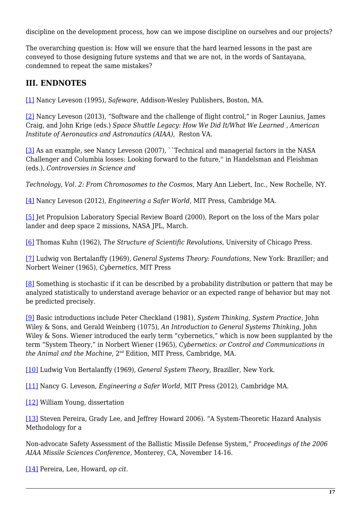discipline on the development process, how can we impose discipline on ourselves and our projects?

The overarching question is: How will we ensure that the hard learned lessons in the past are conveyed to those designing future systems and that we are not, in the words of Santayana, condemned to repeat the same mistakes?

# **III. ENDNOTES**

<span id="page-16-0"></span>[\[1\]](#page-2-0) Nancy Leveson (1995), *Safeware*, Addison-Wesley Publishers, Boston, MA.

<span id="page-16-1"></span>[\[2\]](#page-2-1) Nancy Leveson (2013), "Software and the challenge of flight control," in Roger Launius, James Craig, and John Krige (eds.) *Space Shuttle Legacy: How We Did It/What We Learned , American Institute of Aeronautics and Astronautics (AIAA),* Reston VA.

<span id="page-16-2"></span>[\[3\]](#page-3-0) As an example, see Nancy Leveson (2007), ``Technical and managerial factors in the NASA Challenger and Columbia losses: Looking forward to the future,'' in Handelsman and Fleishman (eds.), *Controversies in Science and*

*Technology, Vol. 2: From Chromosomes to the Cosmos*, Mary Ann Liebert, Inc., New Rochelle, NY.

<span id="page-16-3"></span>[\[4\]](#page-3-1) Nancy Leveson (2012), *Engineering a Safer World*, MIT Press, Cambridge MA.

<span id="page-16-4"></span>[\[5\]](#page-3-2) Jet Propulsion Laboratory Special Review Board (2000), Report on the loss of the Mars polar lander and deep space 2 missions, NASA JPL, March.

<span id="page-16-5"></span>[\[6\]](#page-4-0) Thomas Kuhn (1962), *The Structure of Scientific Revolutions*, University of Chicago Press.

<span id="page-16-6"></span>[\[7\]](#page-4-1) Ludwig von Bertalanffy (1969), *General Systems Theory: Foundations*, New York: Braziller; and Norbert Weiner (1965), *Cybernetics*, MIT Press

<span id="page-16-7"></span>[\[8\]](#page-5-0) Something is stochastic if it can be described by a probability distribution or pattern that may be analyzed statistically to understand average behavior or an expected range of behavior but may not be predicted precisely.

<span id="page-16-8"></span>[\[9\]](#page-5-1) Basic introductions include Peter Checkland (1981), *System Thinking, System Practice*, John Wiley & Sons, and Gerald Weinberg (1075), *An Introduction to General Systems Thinking*, John Wiley & Sons. Wiener introduced the early term "cybernetics," which is now been supplanted by the term "System Theory," in Norbert Wiener (1965), *Cybernetics: or Control and Communications in the Animal and the Machine*, 2nd Edition, MIT Press, Cambridge, MA.

<span id="page-16-9"></span>[\[10\]](#page-5-2) Ludwig Von Bertalanffy (1969), *General System Theory*, Braziller, New York.

<span id="page-16-10"></span>[\[11\]](#page-9-0) Nancy G. Leveson, *Engineering a Safer World*, MIT Press (2012), Cambridge MA.

<span id="page-16-11"></span>[\[12\]](#page-10-0) William Young, dissertation

<span id="page-16-12"></span>[\[13\]](#page-11-0) Steven Pereira, Grady Lee, and Jeffrey Howard 2006). "A System-Theoretic Hazard Analysis Methodology for a

Non-advocate Safety Assessment of the Ballistic Missile Defense System," *Proceedings of the 2006 AIAA Missile Sciences Conference*, Monterey, CA, November 14-16.

<span id="page-16-14"></span><span id="page-16-13"></span>[\[14\]](#page-13-0) Pereira, Lee, Howard, *op cit*.